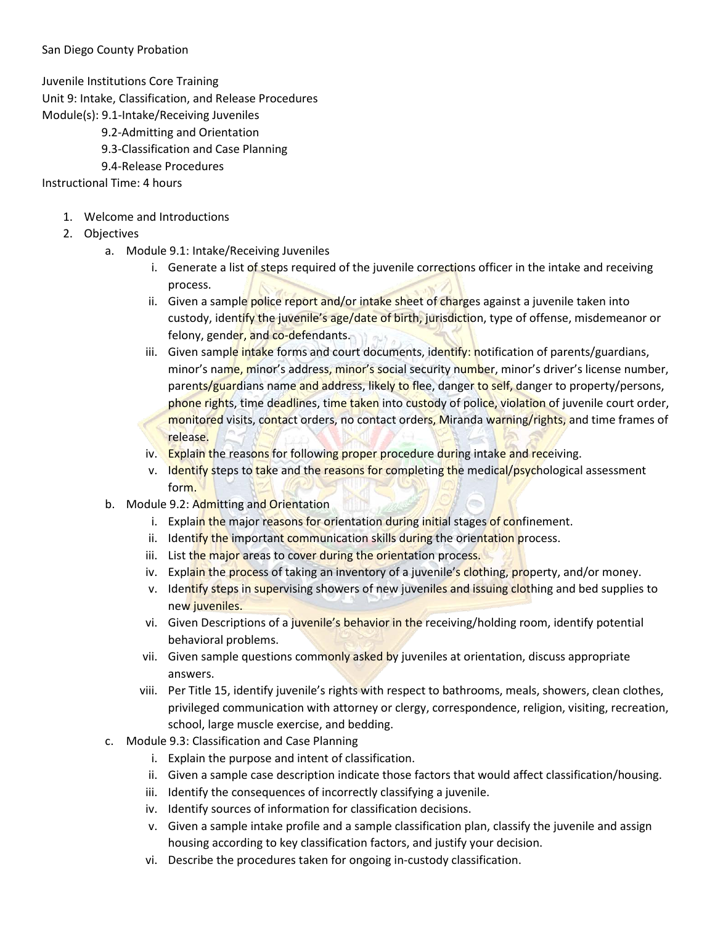## San Diego County Probation

Juvenile Institutions Core Training

Unit 9: Intake, Classification, and Release Procedures

- Module(s): 9.1-Intake/Receiving Juveniles
	- 9.2-Admitting and Orientation
	- 9.3-Classification and Case Planning
	- 9.4-Release Procedures

## Instructional Time: 4 hours

- 1. Welcome and Introductions
- 2. Objectives
	- a. Module 9.1: Intake/Receiving Juveniles
		- i. Generate a list of steps required of the juvenile corrections officer in the intake and receiving process.
		- ii. Given a sample police report and/or intake sheet of charges against a juvenile taken into custody, identify the juvenile's age/date of birth, jurisdiction, type of offense, misdemeanor or felony, gender, and co-defendants.
		- iii. Given sample intake forms and court documents, identify: notification of parents/guardians, minor's name, minor's address, minor's social security number, minor's driver's license number, parents/guardians name and address, likely to flee, danger to self, danger to property/persons, phone rights, time deadlines, time taken into custody of police, violation of juvenile court order, monitored visits, contact orders, no contact orders, Miranda warning/rights, and time frames of release.
		- iv. Explain the reasons for following proper procedure during intake and receiving.
		- v. Identify steps to take and the reasons for completing the medical/psychological assessment form.
	- b. Module 9.2: Admitting and Orientation
		- i. Explain the major reasons for orientation during initial stages of confinement.
		- ii. Identify the important communication skills during the orientation process.
		- iii. List the major areas to cover during the orientation process.
		- iv. Explain the process of taking an inventory of a juvenile's clothing, property, and/or money.
		- v. Identify steps in supervising showers of new juveniles and issuing clothing and bed supplies to new juveniles.
		- vi. Given Descriptions of a juvenile's behavior in the receiving/holding room, identify potential behavioral problems.
		- vii. Given sample questions commonly asked by juveniles at orientation, discuss appropriate answers.
		- viii. Per Title 15, identify juvenile's rights with respect to bathrooms, meals, showers, clean clothes, privileged communication with attorney or clergy, correspondence, religion, visiting, recreation, school, large muscle exercise, and bedding.
	- c. Module 9.3: Classification and Case Planning
		- i. Explain the purpose and intent of classification.
		- ii. Given a sample case description indicate those factors that would affect classification/housing.
		- iii. Identify the consequences of incorrectly classifying a juvenile.
		- iv. Identify sources of information for classification decisions.
		- v. Given a sample intake profile and a sample classification plan, classify the juvenile and assign housing according to key classification factors, and justify your decision.
		- vi. Describe the procedures taken for ongoing in-custody classification.